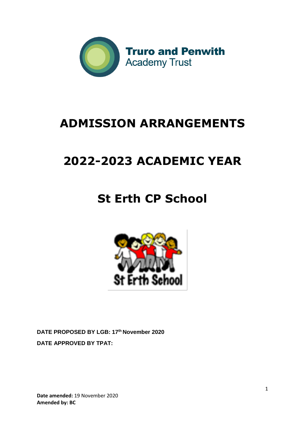

# **ADMISSION ARRANGEMENTS**

# **2022-2023 ACADEMIC YEAR**

# **St Erth CP School**



**DATE PROPOSED BY LGB: 17th November 2020 DATE APPROVED BY TPAT:**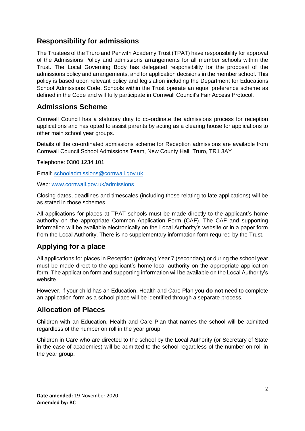## **Responsibility for admissions**

The Trustees of the Truro and Penwith Academy Trust (TPAT) have responsibility for approval of the Admissions Policy and admissions arrangements for all member schools within the Trust. The Local Governing Body has delegated responsibility for the proposal of the admissions policy and arrangements, and for application decisions in the member school. This policy is based upon relevant policy and legislation including the Department for Educations School Admissions Code. Schools within the Trust operate an equal preference scheme as defined in the Code and will fully participate in Cornwall Council's Fair Access Protocol.

### **Admissions Scheme**

Cornwall Council has a statutory duty to co-ordinate the admissions process for reception applications and has opted to assist parents by acting as a clearing house for applications to other main school year groups.

Details of the co-ordinated admissions scheme for Reception admissions are available from Cornwall Council School Admissions Team, New County Hall, Truro, TR1 3AY

Telephone: 0300 1234 101

Email: [schooladmissions@cornwall.gov.uk](mailto:schooladmissions@cornwall.gov.uk)

Web: [www.cornwall.gov.uk/admissions](http://www.cornwall.gov.uk/admissions)

Closing dates, deadlines and timescales (including those relating to late applications) will be as stated in those schemes.

All applications for places at TPAT schools must be made directly to the applicant's home authority on the appropriate Common Application Form (CAF). The CAF and supporting information will be available electronically on the Local Authority's website or in a paper form from the Local Authority. There is no supplementary information form required by the Trust.

# **Applying for a place**

All applications for places in Reception (primary) Year 7 (secondary) or during the school year must be made direct to the applicant's home local authority on the appropriate application form. The application form and supporting information will be available on the Local Authority's website.

However, if your child has an Education, Health and Care Plan you **do not** need to complete an application form as a school place will be identified through a separate process.

## **Allocation of Places**

Children with an Education, Health and Care Plan that names the school will be admitted regardless of the number on roll in the year group.

Children in Care who are directed to the school by the Local Authority (or Secretary of State in the case of academies) will be admitted to the school regardless of the number on roll in the year group.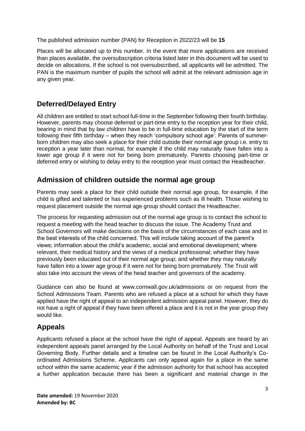The published admission number (PAN) for Reception in 2022/23 will be **15**

Places will be allocated up to this number. In the event that more applications are received than places available, the oversubscription criteria listed later in this document will be used to decide on allocations. If the school is not oversubscribed, all applicants will be admitted. The PAN is the maximum number of pupils the school will admit at the relevant admission age in any given year.

## **Deferred/Delayed Entry**

All children are entitled to start school full-time in the September following their fourth birthday. However, parents may choose deferred or part-time entry to the reception year for their child, bearing in mind that by law children have to be in full-time education by the start of the term following their fifth birthday – when they reach 'compulsory school age'. Parents of summerborn children may also seek a place for their child outside their normal age group i.e. entry to reception a year later than normal, for example if the child may naturally have fallen into a lower age group if it were not for being born prematurely. Parents choosing part-time or deferred entry or wishing to delay entry to the reception year must contact the Headteacher.

## **Admission of children outside the normal age group**

Parents may seek a place for their child outside their normal age group, for example, if the child is gifted and talented or has experienced problems such as ill health. Those wishing to request placement outside the normal age group should contact the Headteacher.

The process for requesting admission out of the normal age group is to contact the school to request a meeting with the head teacher to discuss the issue. The Academy Trust and School Governors will make decisions on the basis of the circumstances of each case and in the best interests of the child concerned. This will include taking account of the parent's views; information about the child's academic, social and emotional development; where relevant, their medical history and the views of a medical professional; whether they have previously been educated out of their normal age group; and whether they may naturally have fallen into a lower age group if it were not for being born prematurely. The Trust will also take into account the views of the head teacher and governors of the academy.

Guidance can also be found at www.cornwall.gov.uk/admissions or on request from the School Admissions Team. Parents who are refused a place at a school for which they have applied have the right of appeal to an independent admission appeal panel. However, they do not have a right of appeal if they have been offered a place and it is not in the year group they would like.

# **Appeals**

Applicants refused a place at the school have the right of appeal. Appeals are heard by an independent appeals panel arranged by the Local Authority on behalf of the Trust and Local Governing Body. Further details and a timeline can be found in the Local Authority's Coordinated Admissions Scheme. Applicants can only appeal again for a place in the same school within the same academic year if the admission authority for that school has accepted a further application because there has been a significant and material change in the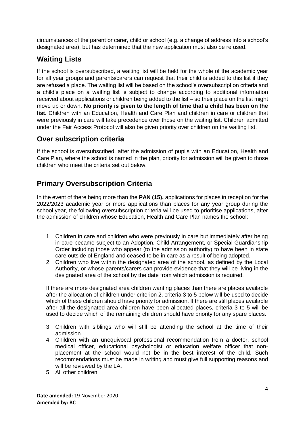circumstances of the parent or carer, child or school (e.g. a change of address into a school's designated area), but has determined that the new application must also be refused.

# **Waiting Lists**

If the school is oversubscribed, a waiting list will be held for the whole of the academic year for all year groups and parents/carers can request that their child is added to this list if they are refused a place. The waiting list will be based on the school's oversubscription criteria and a child's place on a waiting list is subject to change according to additional information received about applications or children being added to the list – so their place on the list might move up or down. **No priority is given to the length of time that a child has been on the list.** Children with an Education, Health and Care Plan and children in care or children that were previously in care will take precedence over those on the waiting list. Children admitted under the Fair Access Protocol will also be given priority over children on the waiting list.

## **Over subscription criteria**

If the school is oversubscribed, after the admission of pupils with an Education, Health and Care Plan, where the school is named in the plan, priority for admission will be given to those children who meet the criteria set out below.

# **Primary Oversubscription Criteria**

In the event of there being more than the **PAN (15),** applications for places in reception for the 2022/2023 academic year or more applications than places for any year group during the school year, the following oversubscription criteria will be used to prioritise applications, after the admission of children whose Education, Health and Care Plan names the school:

- 1. Children in care and children who were previously in care but immediately after being in care became subject to an Adoption, Child Arrangement, or Special Guardianship Order including those who appear (to the admission authority) to have been in state care outside of England and ceased to be in care as a result of being adopted.
- 2. Children who live within the designated area of the school, as defined by the Local Authority, or whose parents/carers can provide evidence that they will be living in the designated area of the school by the date from which admission is required.

If there are more designated area children wanting places than there are places available after the allocation of children under criterion 2, criteria 3 to 5 below will be used to decide which of these children should have priority for admission. If there are still places available after all the designated area children have been allocated places, criteria 3 to 5 will be used to decide which of the remaining children should have priority for any spare places.

- 3. Children with siblings who will still be attending the school at the time of their admission.
- 4. Children with an unequivocal professional recommendation from a doctor, school medical officer, educational psychologist or education welfare officer that nonplacement at the school would not be in the best interest of the child. Such recommendations must be made in writing and must give full supporting reasons and will be reviewed by the LA.
- 5. All other children.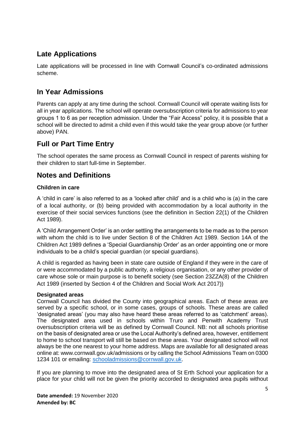# **Late Applications**

Late applications will be processed in line with Cornwall Council's co-ordinated admissions scheme.

## **In Year Admissions**

Parents can apply at any time during the school. Cornwall Council will operate waiting lists for all in year applications. The school will operate oversubscription criteria for admissions to year groups 1 to 6 as per reception admission. Under the "Fair Access" policy, it is possible that a school will be directed to admit a child even if this would take the year group above (or further above) PAN.

## **Full or Part Time Entry**

The school operates the same process as Cornwall Council in respect of parents wishing for their children to start full-time in September.

## **Notes and Definitions**

### **Children in care**

A 'child in care' is also referred to as a 'looked after child' and is a child who is (a) in the care of a local authority, or (b) being provided with accommodation by a local authority in the exercise of their social services functions (see the definition in Section 22(1) of the Children Act 1989).

A 'Child Arrangement Order' is an order settling the arrangements to be made as to the person with whom the child is to live under Section 8 of the Children Act 1989. Section 14A of the Children Act 1989 defines a 'Special Guardianship Order' as an order appointing one or more individuals to be a child's special guardian (or special guardians).

A child is regarded as having been in state care outside of England if they were in the care of or were accommodated by a public authority, a religious organisation, or any other provider of care whose sole or main purpose is to benefit society (see Section 23ZZA(8) of the Children Act 1989 (inserted by Section 4 of the Children and Social Work Act 2017))

### **Designated areas**

Cornwall Council has divided the County into geographical areas. Each of these areas are served by a specific school, or in some cases, groups of schools. These areas are called 'designated areas' (you may also have heard these areas referred to as 'catchment' areas). The designated area used in schools within Truro and Penwith Academy Trust oversubscription criteria will be as defined by Cornwall Council. NB: not all schools prioritise on the basis of designated area or use the Local Authority's defined area, however, entitlement to home to school transport will still be based on these areas. Your designated school will not always be the one nearest to your home address. Maps are available for all designated areas online at: www.cornwall.gov.uk/admissions or by calling the School Admissions Team on 0300 1234 101 or emailing: [schooladmissions@cornwall.gov.uk.](mailto:schooladmissions@cornwall.gov.uk)

If you are planning to move into the designated area of St Erth School your application for a place for your child will not be given the priority accorded to designated area pupils without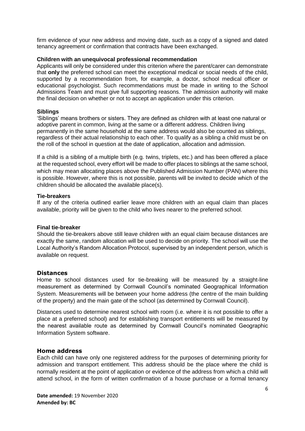firm evidence of your new address and moving date, such as a copy of a signed and dated tenancy agreement or confirmation that contracts have been exchanged.

#### **Children with an unequivocal professional recommendation**

Applicants will only be considered under this criterion where the parent/carer can demonstrate that **only** the preferred school can meet the exceptional medical or social needs of the child, supported by a recommendation from, for example, a doctor, school medical officer or educational psychologist. Such recommendations must be made in writing to the School Admissions Team and must give full supporting reasons. The admission authority will make the final decision on whether or not to accept an application under this criterion.

#### **Siblings**

'Siblings' means brothers or sisters. They are defined as children with at least one natural or adoptive parent in common, living at the same or a different address. Children living permanently in the same household at the same address would also be counted as siblings, regardless of their actual relationship to each other. To qualify as a sibling a child must be on the roll of the school in question at the date of application, allocation and admission.

If a child is a sibling of a multiple birth (e.g. twins, triplets, etc.) and has been offered a place at the requested school, every effort will be made to offer places to siblings at the same school, which may mean allocating places above the Published Admission Number (PAN) where this is possible. However, where this is not possible, parents will be invited to decide which of the children should be allocated the available place(s).

#### **Tie-breakers**

If any of the criteria outlined earlier leave more children with an equal claim than places available, priority will be given to the child who lives nearer to the preferred school.

#### **Final tie-breaker**

Should the tie-breakers above still leave children with an equal claim because distances are exactly the same, random allocation will be used to decide on priority. The school will use the Local Authority's Random Allocation Protocol, supervised by an independent person, which is available on request.

#### **Distances**

Home to school distances used for tie-breaking will be measured by a straight-line measurement as determined by Cornwall Council's nominated Geographical Information System. Measurements will be between your home address (the centre of the main building of the property) and the main gate of the school (as determined by Cornwall Council).

Distances used to determine nearest school with room (i.e. where it is not possible to offer a place at a preferred school) and for establishing transport entitlements will be measured by the nearest available route as determined by Cornwall Council's nominated Geographic Information System software.

#### **Home address**

Each child can have only one registered address for the purposes of determining priority for admission and transport entitlement. This address should be the place where the child is normally resident at the point of application or evidence of the address from which a child will attend school, in the form of written confirmation of a house purchase or a formal tenancy